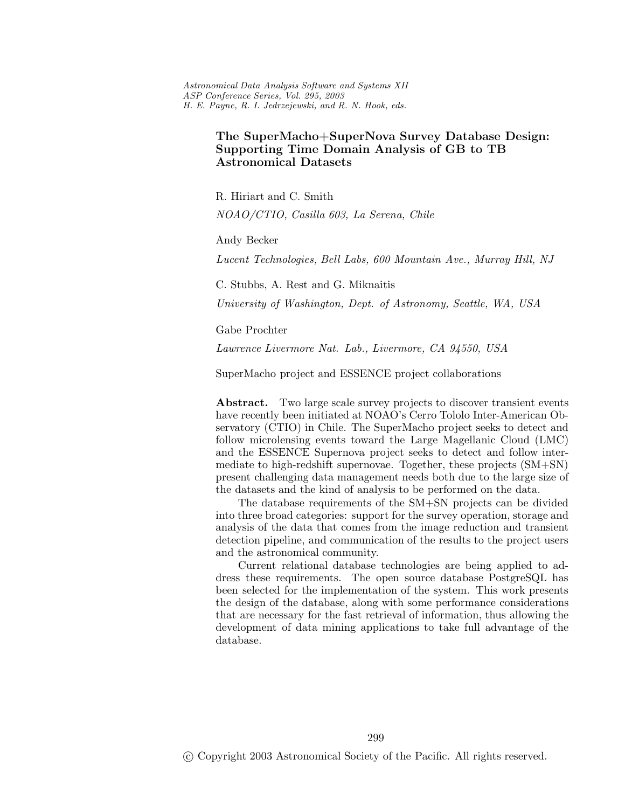*Astronomical Data Analysis Software and Systems XII ASP Conference Series, Vol. 295, 2003 H. E. Payne, R. I. Jedrzejewski, and R. N. Hook, eds.*

# **The SuperMacho+SuperNova Survey Database Design: Astronomical Datasets**

R. Hiriart and C. Smith *NOAO/CTIO, Casilla 603, La Serena, Chile*

Andy Becker

*Lucent Technologies, Bell Labs, 600 Mountain Ave., Murray Hill, NJ*

C. Stubbs, A. Rest and G. Miknaitis

*University of Washington, Dept. of Astronomy, Seattle, WA, USA*

Gabe Prochter

*Lawrence Livermore Nat. Lab., Livermore, CA 94550, USA*

SuperMacho project and ESSENCE project collaborations

Abstract. Two large scale survey projects to discover transient events have recently been initiated at NOAO's Cerro Tololo Inter-American Observatory (CTIO) in Chile. The SuperMacho project seeks to detect and follow microlensing events toward the Large Magellanic Cloud (LMC) and the ESSENCE Supernova project seeks to detect and follow intermediate to high-redshift supernovae. Together, these projects (SM+SN) present challenging data management needs both due to the large size of the datasets and the kind of analysis to be performed on the data.

The database requirements of the SM+SN projects can be divided into three broad categories: support for the survey operation, storage and analysis of the data that comes from the image reduction and transient detection pipeline, and communication of the results to the project users and the astronomical community.

Current relational database technologies are being applied to address these requirements. The open source database PostgreSQL has been selected for the implementation of the system. This work presents the design of the database, along with some performance considerations that are necessary for the fast retrieval of information, thus allowing the development of data mining applications to take full advantage of the database.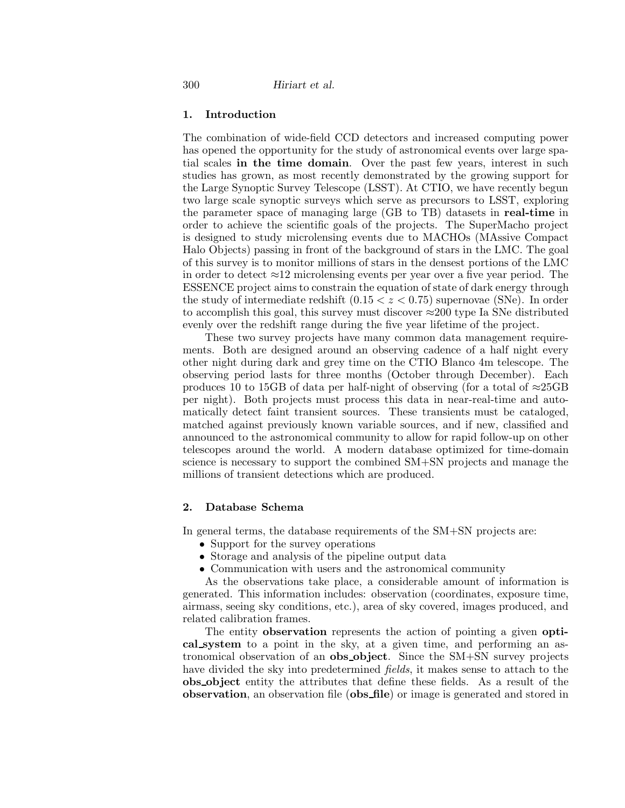## **1. Introduction**

The combination of wide-field CCD detectors and increased computing power has opened the opportunity for the study of astronomical events over large spatial scales **in the time domain**. Over the past few years, interest in such studies has grown, as most recently demonstrated by the growing support for the Large Synoptic Survey Telescope (LSST). At CTIO, we have recently begun two large scale synoptic surveys which serve as precursors to LSST, exploring the parameter space of managing large (GB to TB) datasets in **real-time** in order to achieve the scientific goals of the projects. The SuperMacho project is designed to study microlensing events due to MACHOs (MAssive Compact Halo Objects) passing in front of the background of stars in the LMC. The goal of this survey is to monitor millions of stars in the densest portions of the LMC in order to detect  $\approx$ 12 microlensing events per year over a five year period. The ESSENCE project aims to constrain the equation of state of dark energy through the study of intermediate redshift (0*.*15 *<z<* 0*.*75) supernovae (SNe). In order to accomplish this goal, this survey must discover ≈200 type Ia SNe distributed evenly over the redshift range during the five year lifetime of the project.

These two survey projects have many common data management requirements. Both are designed around an observing cadence of a half night every other night during dark and grey time on the CTIO Blanco 4m telescope. The observing period lasts for three months (October through December). Each produces 10 to 15GB of data per half-night of observing (for a total of  $\approx$ 25GB per night). Both projects must process this data in near-real-time and automatically detect faint transient sources. These transients must be cataloged, matched against previously known variable sources, and if new, classified and announced to the astronomical community to allow for rapid follow-up on other telescopes around the world. A modern database optimized for time-domain science is necessary to support the combined SM+SN projects and manage the millions of transient detections which are produced.

## **2. Database Schema**

In general terms, the database requirements of the  $SM+SN$  projects are:

- Support for the survey operations
- Storage and analysis of the pipeline output data
- Communication with users and the astronomical community

As the observations take place, a considerable amount of information is generated. This information includes: observation (coordinates, exposure time, airmass, seeing sky conditions, etc.), area of sky covered, images produced, and related calibration frames.

The entity **observation** represents the action of pointing a given **optical system** to a point in the sky, at a given time, and performing an astronomicalobservation of an **obs object**. Since the SM+SN survey projects have divided the sky into predetermined *fields*, it makes sense to attach to the **obs object** entity the attributes that define these fields. As a result of the **observation**, an observation file (**obs file**) or image is generated and stored in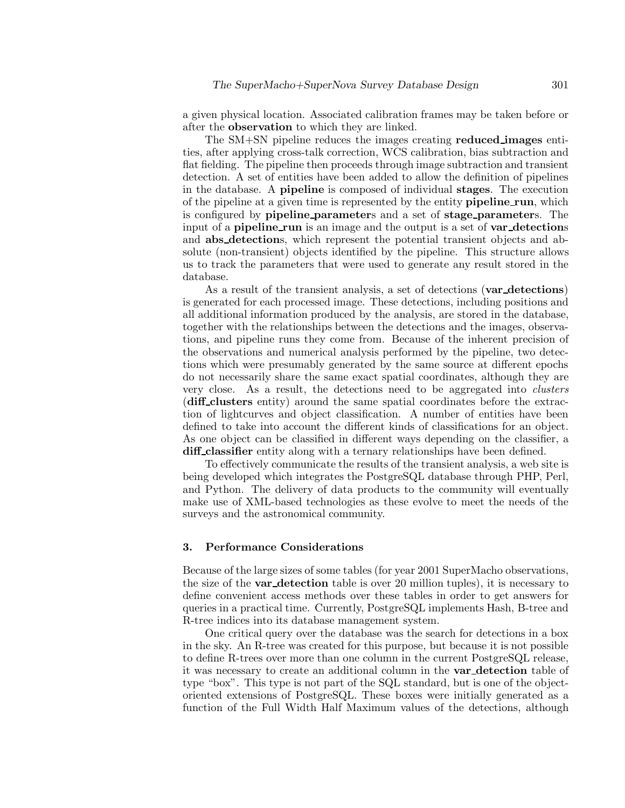a given physical location. Associated calibration frames may be taken before or after the **observation** to which they are linked.

The SM+SN pipeline reduces the images creating **reduced images** entities, after applying cross-talk correction, WCS calibration, bias subtraction and flat fielding. The pipeline then proceeds through image subtraction and transient detection. A set of entities have been added to allow the definition of pipelines in the database. A **pipeline** is composed of individual **stages**. The execution of the pipeline at a given time is represented by the entity **pipeline run**, which is configured by **pipeline parameter**s and a set of **stage parameter**s. The input of a **pipeline run** is an image and the output is a set of **var detection**s and **abs detection**s, which represent the potential transient objects and absolute (non-transient) objects identified by the pipeline. This structure allows us to track the parameters that were used to generate any result stored in the database.

As a result of the transient analysis, a set of detections (**var detections**) is generated for each processed image. These detections, including positions and all additional information produced by the analysis, are stored in the database, together with the relationships between the detections and the images, observations, and pipeline runs they come from. Because of the inherent precision of the observations and numerical analysis performed by the pipeline, two detections which were presumably generated by the same source at different epochs do not necessarily share the same exact spatial coordinates, although they are very close. As a result, the detections need to be aggregated into *clusters* (**diff clusters** entity) around the same spatialcoordinates before the extraction of lightcurves and object classification. A number of entities have been defined to take into account the different kinds of classifications for an object. As one object can be classified in different ways depending on the classifier, a **diff classifier** entity along with a ternary relationships have been defined.

To effectively communicate the results of the transient analysis, a web site is being developed which integrates the PostgreSQL database through PHP, Perl, and Python. The delivery of data products to the community will eventually make use of XML-based technologies as these evolve to meet the needs of the surveys and the astronomical community.

#### **3. Performance Considerations**

Because of the large sizes of some tables (for year 2001 SuperMacho observations, the size of the **var detection** table is over 20 million tuples), it is necessary to define convenient access methods over these tables in order to get answers for queries in a practical time. Currently, PostgreSQL implements Hash, B-tree and R-tree indices into its database management system.

One critical query over the database was the search for detections in a box in the sky. An R-tree was created for this purpose, but because it is not possible to define R-trees over more than one column in the current PostgreSQL release, it was necessary to create an additionalcolumn in the **var detection** table of type "box". This type is not part of the SQL standard, but is one of the objectoriented extensions of PostgreSQL. These boxes were initially generated as a function of the Full Width Half Maximum values of the detections, although